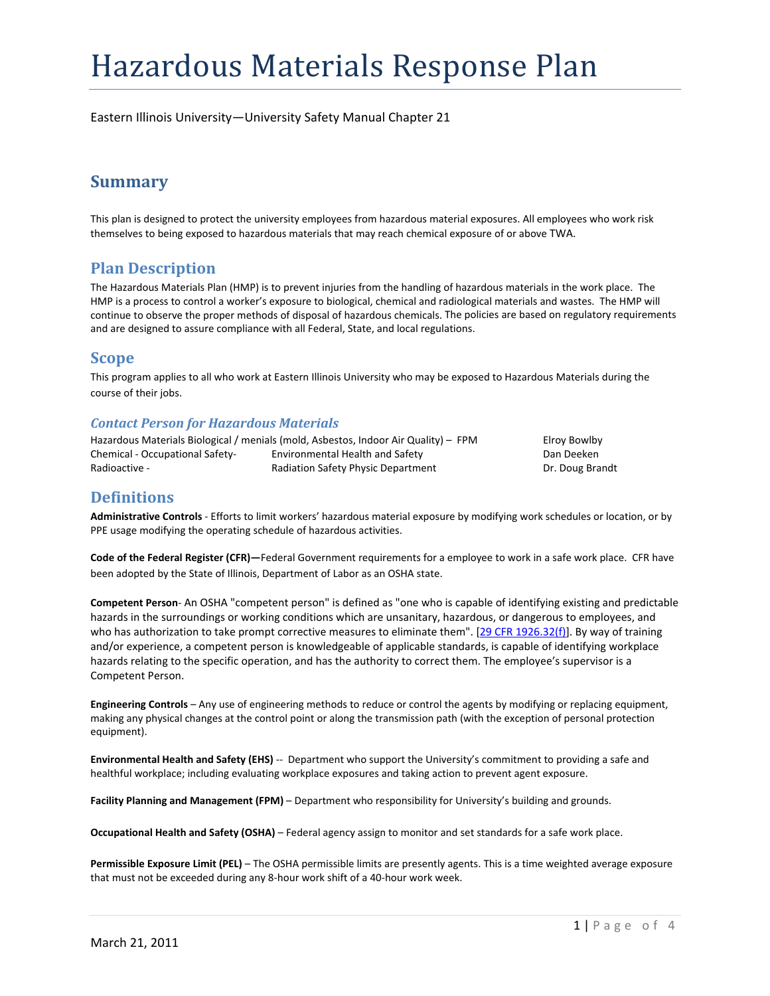# Hazardous Materials Response Plan

Eastern Illinois University—University Safety Manual Chapter 21

# **Summary**

This plan is designed to protect the university employees from hazardous material exposures. All employees who work risk themselves to being exposed to hazardous materials that may reach chemical exposure of or above TWA.

### **Plan Description**

The Hazardous Materials Plan (HMP) is to prevent injuries from the handling of hazardous materials in the work place. The HMP is a process to control a worker's exposure to biological, chemical and radiological materials and wastes. The HMP will continue to observe the proper methods of disposal of hazardous chemicals. The policies are based on regulatory requirements and are designed to assure compliance with all Federal, State, and local regulations.

### **Scope**

This program applies to all who work at Eastern Illinois University who may be exposed to Hazardous Materials during the course of their jobs.

### *Contact Person for Hazardous Materials*

Hazardous Materials Biological / menials (mold, Asbestos, Indoor Air Quality) – FPM Elroy Bowlby Chemical ‐ Occupational Safety‐ Environmental Health and Safety Dan Deeken Radioactive - **Example 2 Radiation Safety Physic Department Lack and Example 2 Pr. Doug Brandt** 

### **Definitions**

**Administrative Controls** ‐ Efforts to limit workers' hazardous material exposure by modifying work schedules or location, or by PPE usage modifying the operating schedule of hazardous activities.

**Code of the Federal Register (CFR)—**Federal Government requirements for a employee to work in a safe work place. CFR have been adopted by the State of Illinois, Department of Labor as an OSHA state.

**Competent Person**‐ An OSHA "competent person" is defined as "one who is capable of identifying existing and predictable hazards in the surroundings or working conditions which are unsanitary, hazardous, or dangerous to employees, and who has authorization to take prompt corrective measures to eliminate them". [29 CFR 1926.32(f)]. By way of training and/or experience, a competent person is knowledgeable of applicable standards, is capable of identifying workplace hazards relating to the specific operation, and has the authority to correct them. The employee's supervisor is a Competent Person.

**Engineering Controls** – Any use of engineering methods to reduce or control the agents by modifying or replacing equipment, making any physical changes at the control point or along the transmission path (with the exception of personal protection equipment).

**Environmental Health and Safety (EHS)** ‐‐ Department who support the University's commitment to providing a safe and healthful workplace; including evaluating workplace exposures and taking action to prevent agent exposure.

**Facility Planning and Management (FPM)** – Department who responsibility for University's building and grounds.

**Occupational Health and Safety (OSHA)** – Federal agency assign to monitor and set standards for a safe work place.

**Permissible Exposure Limit (PEL)** – The OSHA permissible limits are presently agents. This is a time weighted average exposure that must not be exceeded during any 8‐hour work shift of a 40‐hour work week.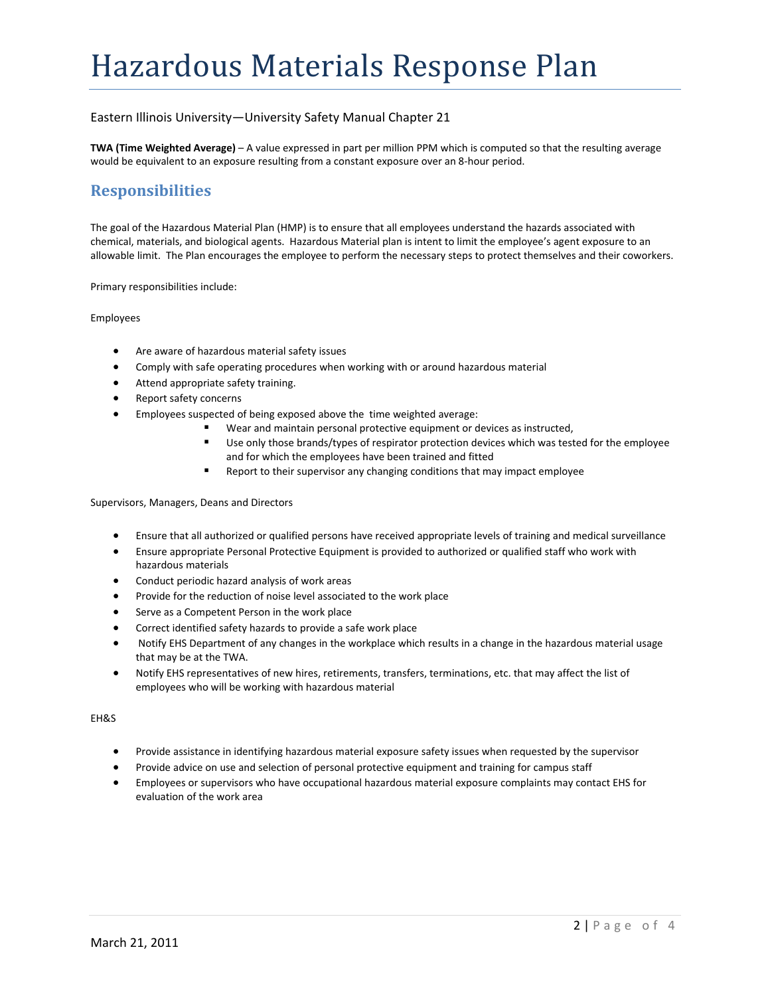#### Eastern Illinois University—University Safety Manual Chapter 21

**TWA (Time Weighted Average)** – A value expressed in part per million PPM which is computed so that the resulting average would be equivalent to an exposure resulting from a constant exposure over an 8‐hour period.

### **Responsibilities**

The goal of the Hazardous Material Plan (HMP) is to ensure that all employees understand the hazards associated with chemical, materials, and biological agents. Hazardous Material plan is intent to limit the employee's agent exposure to an allowable limit. The Plan encourages the employee to perform the necessary steps to protect themselves and their coworkers.

Primary responsibilities include:

Employees

- Are aware of hazardous material safety issues
- Comply with safe operating procedures when working with or around hazardous material
- Attend appropriate safety training.
- Report safety concerns
- Employees suspected of being exposed above the time weighted average:
	- Wear and maintain personal protective equipment or devices as instructed,
		- Use only those brands/types of respirator protection devices which was tested for the employee and for which the employees have been trained and fitted
		- Report to their supervisor any changing conditions that may impact employee

Supervisors, Managers, Deans and Directors

- Ensure that all authorized or qualified persons have received appropriate levels of training and medical surveillance
- Ensure appropriate Personal Protective Equipment is provided to authorized or qualified staff who work with hazardous materials
- Conduct periodic hazard analysis of work areas
- Provide for the reduction of noise level associated to the work place
- Serve as a Competent Person in the work place
- Correct identified safety hazards to provide a safe work place
- Notify EHS Department of any changes in the workplace which results in a change in the hazardous material usage that may be at the TWA.
- Notify EHS representatives of new hires, retirements, transfers, terminations, etc. that may affect the list of employees who will be working with hazardous material

EH&S

- Provide assistance in identifying hazardous material exposure safety issues when requested by the supervisor
- Provide advice on use and selection of personal protective equipment and training for campus staff
- Employees or supervisors who have occupational hazardous material exposure complaints may contact EHS for evaluation of the work area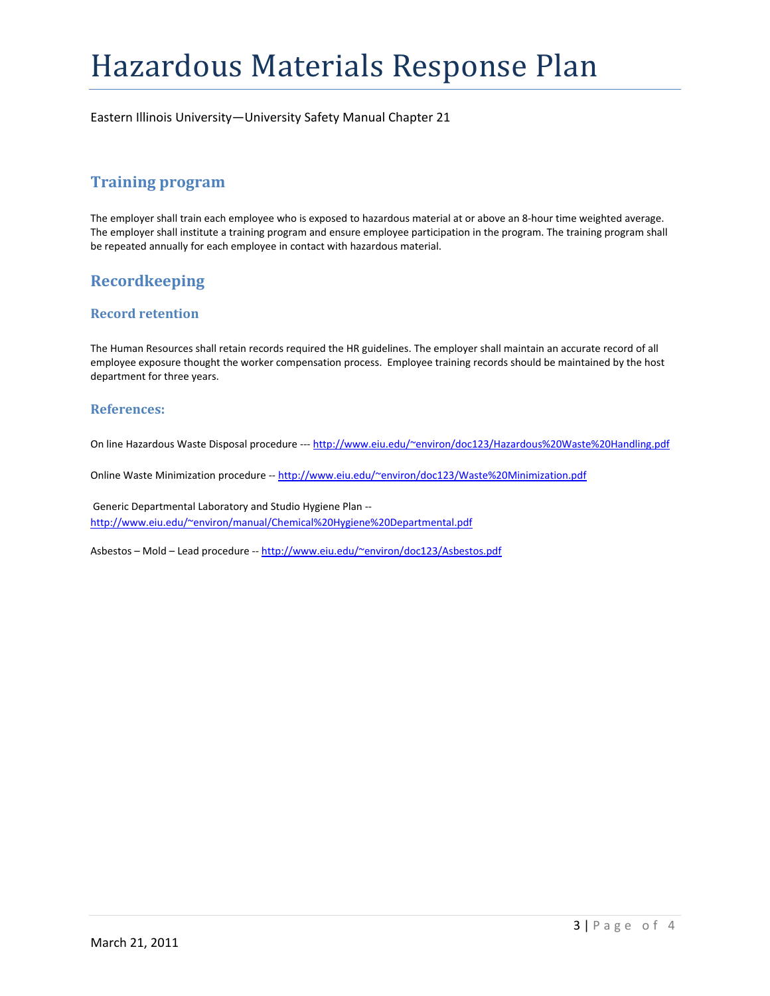# Hazardous Materials Response Plan

Eastern Illinois University—University Safety Manual Chapter 21

## **Training program**

The employer shall train each employee who is exposed to hazardous material at or above an 8‐hour time weighted average. The employer shall institute a training program and ensure employee participation in the program. The training program shall be repeated annually for each employee in contact with hazardous material.

# **Recordkeeping**

### **Record retention**

The Human Resources shall retain records required the HR guidelines. The employer shall maintain an accurate record of all employee exposure thought the worker compensation process. Employee training records should be maintained by the host department for three years.

#### **References:**

On line Hazardous Waste Disposal procedure ‐‐‐ http://www.eiu.edu/~environ/doc123/Hazardous%20Waste%20Handling.pdf

Online Waste Minimization procedure -- http://www.eiu.edu/~environ/doc123/Waste%20Minimization.pdf

Generic Departmental Laboratory and Studio Hygiene Plan ‐‐ http://www.eiu.edu/~environ/manual/Chemical%20Hygiene%20Departmental.pdf

Asbestos – Mold – Lead procedure ‐‐ http://www.eiu.edu/~environ/doc123/Asbestos.pdf